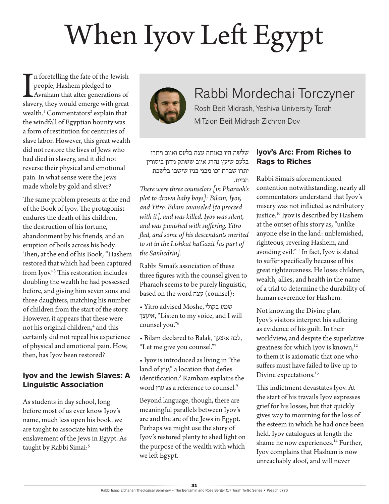# When Iyov Left Egypt

In foretelling the fate of the Jewish<br>people, Hashem pledged to<br>Avraham that after generations of<br>slavery, they would emerge with great n foretelling the fate of the Jewish people, Hashem pledged to Avraham that after generations of wealth.<sup>1</sup> Commentators<sup>2</sup> explain that the windfall of Egyptian bounty was a form of restitution for centuries of slave labor. However, this great wealth did not restore the lives of Jews who had died in slavery, and it did not reverse their physical and emotional pain. In what sense were the Jews made whole by gold and silver?

The same problem presents at the end of the Book of Iyov. The protagonist endures the death of his children, the destruction of his fortune, abandonment by his friends, and an eruption of boils across his body. Then, at the end of his Book, "Hashem restored that which had been captured from Iyov."3 This restoration includes doubling the wealth he had possessed before, and giving him seven sons and three daughters, matching his number of children from the start of the story. However, it appears that these were not his original children,<sup>4</sup> and this certainly did not repeal his experience of physical and emotional pain. How, then, has Iyov been restored?

### **Iyov and the Jewish Slaves: A Linguistic Association**

As students in day school, long before most of us ever know Iyov's name, much less open his book, we are taught to associate him with the enslavement of the Jews in Egypt. As taught by Rabbi Simai:<sup>5</sup>



## Rabbi Mordechai Torczyner

Rosh Beit Midrash, Yeshiva University Torah MiTzion Beit Midrash Zichron Dov

שלשה היו באותה עצה בלעם ואיוב ויתרו בלעם שיעץ נהרג איוב ששתק נידון ביסורין יתרו שברח זכו מבני בניו שישבו בלשכת הגזית.

*There were three counselors [in Pharaoh's plot to drown baby boys]: Bilam, Iyov, and Yitro. Bilam counseled [to proceed with it], and was killed. Iyov was silent, and was punished with suffering. Yitro fled, and some of his descendants merited to sit in the Lishkat haGazit [as part of the Sanhedrin].*

Rabbi Simai's association of these three figures with the counsel given to Pharaoh seems to be purely linguistic, based on the word עצה) counsel):

- Yitro advised Moshe, בקולי שמע איעצך," Listen to my voice, and I will counsel you."6
- Bilam declared to Balak, איצעך לכה, "Let me give you counsel."7
- Iyov is introduced as living in "the land of עוץ," a location that defies identification.8 Rambam explains the word עוץ as a reference to counsel.9

Beyond language, though, there are meaningful parallels between Iyov's arc and the arc of the Jews in Egypt. Perhaps we might use the story of Iyov's restored plenty to shed light on the purpose of the wealth with which we left Egypt.

### **Iyov's Arc: From Riches to Rags to Riches**

Rabbi Simai's aforementioned contention notwithstanding, nearly all commentators understand that Iyov's misery was not inflicted as retributory justice.10 Iyov is described by Hashem at the outset of his story as, "unlike anyone else in the land: unblemished, righteous, revering Hashem, and avoiding evil."11 In fact, Iyov is slated to suffer specifically because of his great righteousness. He loses children, wealth, allies, and health in the name of a trial to determine the durability of human reverence for Hashem.

Not knowing the Divine plan, Iyov's visitors interpret his suffering as evidence of his guilt. In their worldview, and despite the superlative greatness for which Iyov is known,<sup>12</sup> to them it is axiomatic that one who suffers must have failed to live up to Divine expectations.<sup>13</sup>

This indictment devastates Iyov. At the start of his travails Iyov expresses grief for his losses, but that quickly gives way to mourning for the loss of the esteem in which he had once been held. Iyov catalogues at length the shame he now experiences.<sup>14</sup> Further, Iyov complains that Hashem is now unreachably aloof, and will never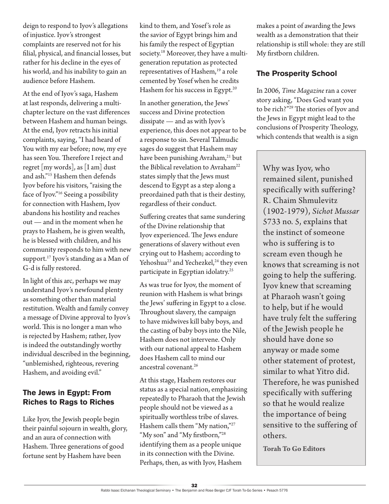deign to respond to Iyov's allegations of injustice. Iyov's strongest complaints are reserved not for his filial, physical, and financial losses, but rather for his decline in the eyes of his world, and his inability to gain an audience before Hashem.

At the end of Iyov's saga, Hashem at last responds, delivering a multichapter lecture on the vast differences between Hashem and human beings. At the end, Iyov retracts his initial complaints, saying, "I had heard of You with my ear before; now, my eye has seen You. Therefore I reject and regret [my words], as [I am] dust and ash."15 Hashem then defends Iyov before his visitors, "raising the face of Iyov."16 Seeing a possibility for connection with Hashem, Iyov abandons his hostility and reaches out — and in the moment when he prays to Hashem, he is given wealth, he is blessed with children, and his community responds to him with new support.<sup>17</sup> Iyov's standing as a Man of G-d is fully restored.

In light of this arc, perhaps we may understand Iyov's newfound plenty as something other than material restitution. Wealth and family convey a message of Divine approval to Iyov's world. This is no longer a man who is rejected by Hashem; rather, Iyov is indeed the outstandingly worthy individual described in the beginning, "unblemished, righteous, revering Hashem, and avoiding evil."

### **The Jews in Egypt: From Riches to Rags to Riches**

Like Iyov, the Jewish people begin their painful sojourn in wealth, glory, and an aura of connection with Hashem. Three generations of good fortune sent by Hashem have been

kind to them, and Yosef 's role as the savior of Egypt brings him and his family the respect of Egyptian society.<sup>18</sup> Moreover, they have a multigeneration reputation as protected representatives of Hashem,<sup>19</sup> a role cemented by Yosef when he credits Hashem for his success in Egypt.<sup>20</sup>

In another generation, the Jews' success and Divine protection dissipate — and as with Iyov's experience, this does not appear to be a response to sin. Several Talmudic sages do suggest that Hashem may have been punishing Avraham,<sup>21</sup> but the Biblical revelation to Avraham<sup>22</sup> states simply that the Jews must descend to Egypt as a step along a preordained path that is their destiny, regardless of their conduct.

Suffering creates that same sundering of the Divine relationship that Iyov experienced. The Jews endure generations of slavery without even crying out to Hashem; according to Yehoshua<sup>23</sup> and Yechezkel,<sup>24</sup> they even participate in Egyptian idolatry.<sup>25</sup>

As was true for Iyov, the moment of reunion with Hashem is what brings the Jews' suffering in Egypt to a close. Throughout slavery, the campaign to have midwives kill baby boys, and the casting of baby boys into the Nile, Hashem does not intervene. Only with our national appeal to Hashem does Hashem call to mind our ancestral covenant.<sup>26</sup>

At this stage, Hashem restores our status as a special nation, emphasizing repeatedly to Pharaoh that the Jewish people should not be viewed as a spiritually worthless tribe of slaves. Hashem calls them "My nation,"27 "My son" and "My firstborn,"<sup>28</sup> identifying them as a people unique in its connection with the Divine. Perhaps, then, as with Iyov, Hashem

makes a point of awarding the Jews wealth as a demonstration that their relationship is still whole: they are still My firstborn children.

#### **The Prosperity School**

In 2006, *Time Magazine* ran a cover story asking, "Does God want you to be rich?"29 The stories of Iyov and the Jews in Egypt might lead to the conclusions of Prosperity Theology, which contends that wealth is a sign

Why was Iyov, who remained silent, punished specifically with suffering? R. Chaim Shmulevitz (1902-1979), *Sichot Mussar* 5733 no. 5, explains that the instinct of someone who is suffering is to scream even though he knows that screaming is not going to help the suffering. Iyov knew that screaming at Pharaoh wasn't going to help, but if he would have truly felt the suffering of the Jewish people he should have done so anyway or made some other statement of protest, similar to what Yitro did. Therefore, he was punished specifically with suffering so that he would realize the importance of being sensitive to the suffering of others.

**Torah To Go Editors**